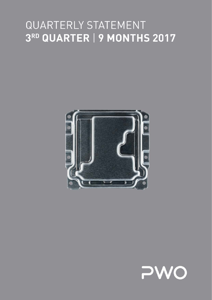# $\bigcap$ I JI LA R 3RD QUARTER | 9 MONTHS 2017



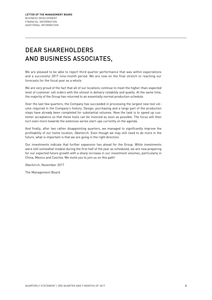# DEAR SHAREHOLDERS AND BUSINESS ASSOCIATES,

We are pleased to be able to report third quarter performance that was within expectations and a successful 2017 nine-month period. We are now on the final stretch to reaching our forecasts for the fiscal year as a whole.

We are very proud of the fact that all of our locations continue to meet the higher-than-expected level of customer call orders with the utmost in delivery reliability and quality. At the same time, the majority of the Group has returned to an essentially normal production schedule.

Over the last few quarters, the Company has succeeded in processing the largest new tool volume required in the Company's history. Design, purchasing and a large part of the production steps have already been completed for substantial volumes. Now the task is to speed up customer acceptance so that these tools can be invoiced as soon as possible. The focus will then turn even more towards the extensive series start-ups currently on the agenda.

And finally, after two rather disappointing quarters, we managed to significantly improve the profitability of our home location, Oberkirch. Even though we may still need to do more in the future, what is important is that we are going in the right direction.

Our investments indicate that further expansion lies ahead for the Group. While investments were still somewhat modest during the first half of the year as scheduled, we are now preparing for our expected future growth with a sharp increase in our investment volumes, particularly in China, Mexico and Czechia. We invite you to join us on this path!

Oberkirch, November 2017

The Management Board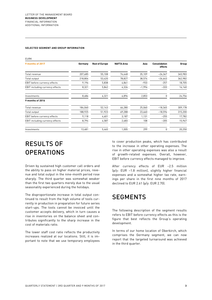#### **SELECTED SEGMENT AND GROUP INFORMATION**

| <b>EURK</b>                         |         |                       |                   |          |                                 |         |
|-------------------------------------|---------|-----------------------|-------------------|----------|---------------------------------|---------|
| 9 months of 2017                    | Germany | <b>Rest of Europe</b> | <b>NAFTA Area</b> | Asia     | <b>Consolidation</b><br>effects | Group   |
| Total revenue                       | 207,685 | 55,108                | 74,448            | 35,109   | $-26,367$                       | 345,983 |
| Total output                        | 218,804 | 53,420                | 78,827            | 38,574   | $-26,643$                       | 362,982 |
| <b>EBIT</b> before currency effects | 9,196   | 5,838                 | 4,861             | $-933$   | $-257$                          | 18,705  |
| EBIT including currency effects     | 8,321   | 5,842                 | 4,326             | $-1,996$ | $-333$                          | 16,160  |
| Investments                         | 8,686   | 6,321                 | 6,896             | 2,853    | 0                               | 24,756  |
| 9 months of 2016                    |         |                       |                   |          |                                 |         |
| Total revenue                       | 184,060 | 52,143                | 66,280            | 25,060   | $-18,365$                       | 309,178 |
| Total output                        | 188,925 | 51,923                | 69,288            | 23,660   | $-18,596$                       | 315,200 |
| <b>EBIT</b> before currency effects | 9,118   | 4,601                 | 3,187             | 1,131    | $-255$                          | 17,782  |
| EBIT including currency effects     | 8,794   | 4,587                 | 2,683             | 108      | $-205$                          | 15,967  |
| Investments                         | 13,481  | 5,465                 | 1,005             | 299      | 0                               | 20,250  |

# RESULTS OF **OPERATIONS**

Driven by sustained high customer call orders and the ability to pass on higher material prices, revenue and total output in the nine-month period rose sharply. The third quarter was somewhat weaker than the first two quarters merely due to the usual seasonality experienced during the holidays.

The disproportionate increase in total output continued to result from the high volume of tools currently in production in preparation for future series start-ups. The tools cannot be invoiced until the customer accepts delivery, which in turn causes a rise in inventories on the balance sheet and contributes significantly to the sharp increase in the cost of materials ratio.

The lower staff cost ratio reflects the productivity increases realized at our locations. Still, it is important to note that we use temporary employees

to cover production peaks, which has contributed to the increase in other operating expenses. The rise in other operating expenses was also a result of growth-related expenses. Overall, however, EBIT before currency effects managed to improve.

After currency effects of EUR –2.5 million (p/y: EUR –1.8 million), slightly higher financial expenses and a somewhat higher tax rate, earnings per share in the first nine months of 2017 declined to EUR 2.61 (p/y: EUR 2.70).

### **SEGMENTS**

The following description of the segment results refers to EBIT before currency effects as this is the figure that best reflects the Group's operating development.

In terms of our home location of Oberkirch, which comprises the Germany segment, we can now report that the targeted turnaround was achieved in the third quarter.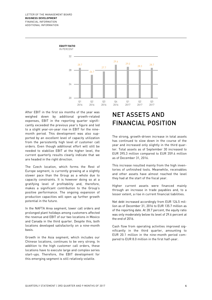

After EBIT in the first six months of the year was weighed down by additional growth-related expenses, EBIT in the reporting quarter significantly exceeded the previous year's figure and led to a slight year-on-year rise in EBIT for the ninemonth period. This development was also supported by an excellent level of capacity utilization from the persistently high level of customer call orders. Even though additional effort will still be needed to stabilize EBIT at the higher level, the current quarterly results clearly indicate that we are headed in the right direction.

The Czech location, which forms the Rest of Europe segment, is currently growing at a slightly slower pace than the Group as a whole due to capacity constraints. It is however doing so at a gratifying level of profitability and, therefore, makes a significant contribution to the Group's positive performance. The ongoing expansion of production capacities will open up further growth potential in the future.

In the NAFTA Area segment, lower call orders and prolonged plant holidays among customers affected the revenue and EBIT of our two locations in Mexico and Canada in the third quarter. Despite this, both locations developed satisfactorily on a nine-month basis.

Growth in the Asia segment, which includes our Chinese locations, continues to be very strong. In addition to the high customer call orders, these locations have to execute large and complex series start-ups. Therefore, the EBIT development for this emerging segment is still relatively volatile.

# NET ASSETS AND FINANCIAL POSITION

The strong, growth-driven increase in total assets has continued to slow down in the course of the year and increased only slightly in the third quarter. Total assets as of September 30 increased to EUR 395.3 million compared to EUR 359.4 million as of December 31, 2016.

This increase resulted mainly from the high inventories of unfinished tools. Meanwhile, receivables and other assets have almost reached the level they had at the start of the fiscal year.

Higher current assets were financed mainly through an increase in trade payables and, to a lesser extent, a rise in current financial liabilities.

Net debt increased accordingly from EUR 124.5 million as of December 31, 2016 to EUR 135.7 million as of the reporting date. At 28.7 percent, the equity ratio was only moderately below its level of 29.6 percent at the end of 2016.

Cash flow from operating activities improved significantly in the third quarter, amounting to EUR 20.1 million in the nine-month period compared to EUR 8.0 million in the first half-year.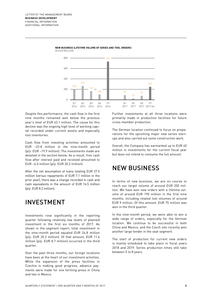![](_page_4_Figure_1.jpeg)

#### **NEW BUSINESS (LIFETIME VOLUME OF SERIES AND TOOL ORDERS)** IN EUR MILLION

Despite this performance, the cash flow in the first nine months remained well below the previous year's level of EUR 43.1 million. The cause for this decline was the ongoing high level of working capital recorded under current assets and especially tool inventories.

Cash flow from investing activities amounted to EUR –22.8 million in the nine-month period (p/y: EUR –19.9 million). The investments made are detailed in the section below. As a result, free cash flow after interest paid and received amounted to EUR –6.0 million (p/y: EUR 20.2 million).

After the net assumption of loans totaling EUR 27.5 million (versus repayments of EUR 7.1 million in the prior year), there was a change recorded in cash and cash equivalents in the amount of EUR 16.5 million (p/y: EUR 8.2 million).

### INVESTMENT

Investments rose significantly in the reporting quarter following relatively low levels of planned investment in the first six months of 2017. As shown in the segment report, total investment in the nine-month period equaled EUR 24.8 million (p/y: EUR 20.3 million). Of that amount, EUR 11.6 million (p/y: EUR 8.7 million) occurred in the third quarter.

Over the past three months, our foreign locations have been at the heart of our investment activities. While the expansion of the press facilities in Czechia is making good progress, advance payments were made for one forming press in China and two in Mexico.

Further investments at all three locations were primarily made in production facilities for future cross-member production.

The German location continued to focus on preparations for the upcoming major new series startups and also carried out some construction work.

Overall, the Company has earmarked up to EUR 40 million in investments for the current fiscal year but does not intend to consume the full amount.

### NEW BUSINESS

In terms of new business, we are on course to reach our target volume of around EUR 250 million. We have won new orders with a lifetime volume of around EUR 190 million in the first nine months, including related tool volumes of around EUR 9 million. Of this amount, EUR 75 million was won in the third quarter.

In the nine-month period, we were able to win a wide range of orders, especially for the German location. We continue to be successful in both China and Mexico, and the Czech site recently won another large tender in the seat segment.

The start of production for current new orders is mainly scheduled to take place in fiscal years 2018 and 2019. Series production times still take between 5 to 8 years.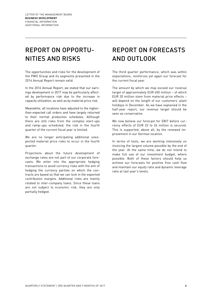## REPORT ON OPPORTU-NITIES AND RISKS

The opportunities and risks for the development of the PWO Group and its segments presented in the 2016 Annual Report remain valid.

In the 2016 Annual Report, we stated that our earnings development in 2017 may be particularly affected by performance risk due to the increase in capacity utilization, as well as by material price risk.

Meanwhile, all locations have adjusted to the higherthan-expected call orders and have largely returned to their normal production schedules. Although there are still risks from the complex start-ups and ramp-ups scheduled, the risk in the fourth quarter of the current fiscal year is limited.

We are no longer anticipating additional unexpected material price risks to occur in the fourth quarter.

Projections about the future development of exchange rates are not part of our corporate forecasts. We enter into the appropriate hedging transactions to avoid currency risks with the aim of hedging the currency parities on which the contracts are based so that we can lock in the expected contribution margins. Additional risks are mainly related to inter-company loans. Since these loans are not subject to economic risk, they are only partially hedged.

# REPORT ON FORECASTS AND OUTLOOK

The third quarter performance, which was within expectations, reinforces yet again our forecast for the current fiscal year.

The amount by which we may exceed our revenue target of approximately EUR 450 million – of which EUR 20 million stem from material price effects – will depend on the length of our customers' plant holidays in December. As we have explained in the half-year report, our revenue target should be seen as conservative.

We now believe our forecast for EBIT before currency effects of EUR 23 to 24 million is secured. This is supported, above all, by the renewed improvement in our German location.

In terms of tools, we are working intensively on invoicing the largest volume possible by the end of the year. At the same time, we do not intend to make full use of our investment budget, where possible. Both of these factors should help us achieve our forecasts for positive free cash flow and maintain our equity ratio and dynamic leverage ratio at last year's levels.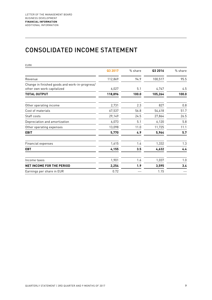### CONSOLIDATED INCOME STATEMENT

| <b>EURK</b>                                                                  |         |         |         |         |
|------------------------------------------------------------------------------|---------|---------|---------|---------|
|                                                                              | Q3 2017 | % share | Q3 2016 | % share |
| Revenue                                                                      | 112,869 | 94.9    | 100,517 | 95.5    |
| Change in finished goods and work-in-progress/<br>other own work capitalized | 6,027   | 5.1     | 4,747   | 4.5     |
| <b>TOTAL OUTPUT</b>                                                          | 118,896 | 100.0   | 105,264 | 100.0   |
| Other operating income                                                       | 2,731   | 2.3     | 827     | 0.8     |
| Cost of materials                                                            | 67,537  | 56.8    | 54,418  | 51.7    |
| Staff costs                                                                  | 29,149  | 24.5    | 27,864  | 26.5    |
| Depreciation and amortization                                                | 6,073   | 5.1     | 6,120   | 5.8     |
| Other operating expenses                                                     | 13,098  | 11.0    | 11,725  | 11.1    |
| <b>EBIT</b>                                                                  | 5,770   | 4.9     | 5,964   | 5.7     |
| <b>Financial expenses</b>                                                    | 1,615   | 1.4     | 1,332   | 1.3     |
| <b>EBT</b>                                                                   | 4,155   | 3.5     | 4,632   | 4.4     |
| Income taxes                                                                 | 1,901   | 1.6     | 1,037   | 1.0     |
| <b>NET INCOME FOR THE PERIOD</b>                                             | 2,254   | 1.9     | 3,595   | 3.4     |
| Earnings per share in EUR                                                    | 0.72    |         | 1.15    |         |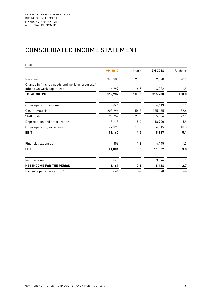### CONSOLIDATED INCOME STATEMENT

| <b>EURK</b>                                                                  |         |         |         |         |
|------------------------------------------------------------------------------|---------|---------|---------|---------|
|                                                                              | 9M 2017 | % share | 9M 2016 | % share |
| Revenue                                                                      | 345,983 | 95.3    | 309,178 | 98.1    |
| Change in finished goods and work-in-progress/<br>other own work capitalized | 16,999  | 4.7     | 6,022   | 1.9     |
| <b>TOTAL OUTPUT</b>                                                          | 362,982 | 100.0   | 315,200 | 100.0   |
| Other operating income                                                       | 9,044   | 2.5     | 4,113   | 1.3     |
| Cost of materials                                                            | 203,996 | 56.2    | 165,135 | 52.4    |
| Staff costs                                                                  | 90,757  | 25.0    | 85,356  | 27.1    |
| Depreciation and amortization                                                | 18,118  | 5.0     | 18,740  | 5.9     |
| Other operating expenses                                                     | 42,995  | 11.8    | 34,115  | 10.8    |
| <b>EBIT</b>                                                                  | 16,160  | 4.5     | 15,967  | 5.1     |
| Financial expenses                                                           | 4,356   | 1.2     | 4,145   | 1.3     |
| <b>EBT</b>                                                                   | 11,804  | 3.3     | 11,822  | 3.8     |
| Income taxes                                                                 | 3,643   | 1.0     | 3,396   | 1.1     |
| <b>NET INCOME FOR THE PERIOD</b>                                             | 8,161   | 2.3     | 8,426   | 2.7     |
| Earnings per share in EUR                                                    | 2.61    |         | 2.70    |         |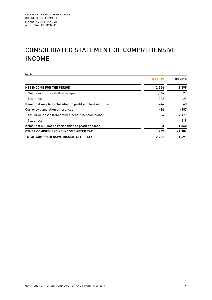# CONSOLIDATED STATEMENT OF COMPREHENSIVE INCOME

EURK

|                                                             | Q3 2017 | Q3 2016  |
|-------------------------------------------------------------|---------|----------|
| <b>NET INCOME FOR THE PERIOD</b>                            | 2,254   | 3,595    |
| Net gains from cash flow hedges                             | 1,046   | 72       |
| Tax effect                                                  | $-302$  | $-29$    |
| Items that may be reclassified to profit and loss in future | 744     | 43       |
| <b>Currency translation differences</b>                     | $-34$   | $-387$   |
| Actuarial losses from defined benefit pension plans         | -4      | $-2.179$ |
| Tax effect                                                  |         | 619      |
| Items that will not be reclassified to profit and loss      | -3      | $-1,560$ |
| OTHER COMPREHENSIVE INCOME AFTER TAX                        | 707     | $-1,904$ |
| <b>TOTAL COMPREHENSIVE INCOME AFTER TAX</b>                 | 2.961   | 1,691    |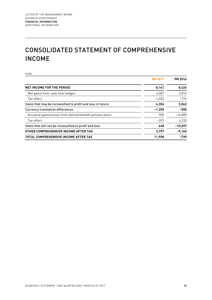# CONSOLIDATED STATEMENT OF COMPREHENSIVE INCOME

EURK

|                                                             | 9M 2017  | 9M 2016   |
|-------------------------------------------------------------|----------|-----------|
| <b>NET INCOME FOR THE PERIOD</b>                            | 8,161    | 8,426     |
| Net gains from cash flow hedges                             | 6,007    | 2,816     |
| Tax effect                                                  | $-1,653$ | $-774$    |
| Items that may be reclassified to profit and loss in future | 4,354    | 2,042     |
| <b>Currency translation differences</b>                     | $-1,205$ | $-550$    |
| Actuarial gains/losses from defined benefit pension plans   | 905      | $-14,890$ |
| Tax effect                                                  | $-257$   | 4.233     |
| Items that will not be reclassified to profit and loss      | 648      | $-10,657$ |
| OTHER COMPREHENSIVE INCOME AFTER TAX                        | 3,797    | $-9,165$  |
| <b>TOTAL COMPREHENSIVE INCOME AFTER TAX</b>                 | 11,958   | $-739$    |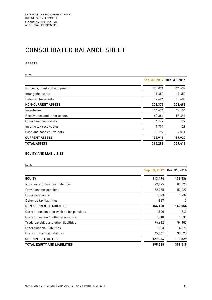### CONSOLIDATED BALANCE SHEET

### **ASSETS**

| <b>EURK</b>                   |         |                             |
|-------------------------------|---------|-----------------------------|
|                               |         | Sep. 30, 2017 Dec. 31, 2016 |
| Property, plant and equipment | 178,071 | 176,637                     |
| Intangible assets             | 11,682  | 11,452                      |
| Deferred tax assets           | 12,624  | 13,400                      |
| <b>NON-CURRENT ASSETS</b>     | 202,377 | 201,489                     |
| Inventories                   | 114,474 | 97,104                      |
| Receivables and other assets  | 62,384  | 58,491                      |
| Other financial assets        | 4,147   | 192                         |
| Income tax receivables        | 1,707   | 129                         |
| Cash and cash equivalents     | 10,199  | 2,014                       |
| <b>CURRENT ASSETS</b>         | 192,911 | 157,930                     |
| <b>TOTAL ASSETS</b>           | 395,288 | 359,419                     |

#### **EQUITY AND LIABILITIES**

| I |  |
|---|--|
|   |  |
|   |  |
|   |  |

|                                            | Sep. 30, 2017 | Dec. 31, 2016 |
|--------------------------------------------|---------------|---------------|
| <b>EQUITY</b>                              | 113,494       | 106,536       |
| Non-current financial liabilities          | 99,975        | 87,395        |
| Provisions for pensions                    | 52,075        | 52,927        |
| Other provisions                           | 1,573         | 1,732         |
| Deferred tax liabilities                   | 837           | 0             |
| <b>NON-CURRENT LIABILITIES</b>             | 154,460       | 142,054       |
| Current portion of provisions for pensions | 1,540         | 1,540         |
| Current portion of other provisions        | 1,318         | 1,231         |
| Trade payables and other liabilities       | 76,612        | 54,103        |
| Other financial liabilities                | 1,903         | 14,878        |
| Current financial liabilities              | 45,961        | 39,077        |
| <b>CURRENT LIABILITIES</b>                 | 127,334       | 110,829       |
| TOTAL EQUITY AND LIABILITIES               | 395,288       | 359,419       |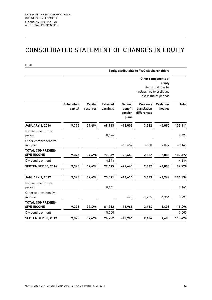### CONSOLIDATED STATEMENT OF CHANGES IN EQUITY

|                                               |                              |                            |                             |                                               | <b>Equity attributable to PWO AG shareholders</b> |                                                                              |              |
|-----------------------------------------------|------------------------------|----------------------------|-----------------------------|-----------------------------------------------|---------------------------------------------------|------------------------------------------------------------------------------|--------------|
|                                               |                              |                            |                             |                                               | reclassified to profit and                        | Other components of<br>equity<br>items that may be<br>loss in future periods |              |
|                                               | <b>Subscribed</b><br>capital | <b>Capital</b><br>reserves | <b>Retained</b><br>earnings | <b>Defined</b><br>benefit<br>pension<br>plans | <b>Currency</b><br>translation<br>differences     | <b>Cash flow</b><br>hedges                                                   | <b>Total</b> |
| <b>JANUARY 1, 2016</b>                        | 9,375                        | 37,494                     | 68,913                      | $-12,003$                                     | 3,382                                             | $-4,050$                                                                     | 103,111      |
| Net income for the<br>period                  |                              |                            | 8,426                       |                                               |                                                   |                                                                              | 8,426        |
| Other comprehensive<br>income                 |                              |                            |                             | $-10,657$                                     | $-550$                                            | 2,042                                                                        | $-9,165$     |
| TOTAL COMPREHEN-<br><b>SIVE INCOME</b>        | 9,375                        | 37,494                     | 77,339                      | $-22,660$                                     | 2,832                                             | $-2,008$                                                                     | 102,372      |
| Dividend payment                              |                              |                            | $-4,844$                    |                                               |                                                   |                                                                              | $-4,844$     |
| <b>SEPTEMBER 30, 2016</b>                     | 9,375                        | 37,494                     | 72,495                      | $-22,660$                                     | 2,832                                             | $-2,008$                                                                     | 97,528       |
| <b>JANUARY 1, 2017</b>                        | 9,375                        | 37,494                     | 73,591                      | $-14,614$                                     | 3,639                                             | $-2,949$                                                                     | 106,536      |
| Net income for the<br>period                  |                              |                            | 8,161                       |                                               |                                                   |                                                                              | 8,161        |
| Other comprehensive<br>income                 |                              |                            |                             | 648                                           | $-1,205$                                          | 4,354                                                                        | 3,797        |
| <b>TOTAL COMPREHEN-</b><br><b>SIVE INCOME</b> | 9,375                        | 37,494                     | 81,752                      | $-13,966$                                     | 2,434                                             | 1,405                                                                        | 118,494      |
| Dividend payment                              |                              |                            | $-5,000$                    |                                               |                                                   |                                                                              | $-5,000$     |
| <b>SEPTEMBER 30, 2017</b>                     | 9,375                        | 37,494                     | 76,752                      | $-13,966$                                     | 2,434                                             | 1,405                                                                        | 113,494      |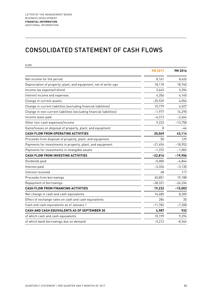### CONSOLIDATED STATEMENT OF CASH FLOWS

| <b>EURK</b>                                                         |           |           |
|---------------------------------------------------------------------|-----------|-----------|
|                                                                     | 9M 2017   | 9M 2016   |
| Net income for the period                                           | 8,161     | 8,426     |
| Depreciation of property, plant, and equipment, net of write-ups    | 18,118    | 18,740    |
| Income tax expense/refund                                           | 3,643     | 3,396     |
| Interest income and expenses                                        | 4,356     | 4,145     |
| Change in current assets                                            | $-25,929$ | 4,056     |
| Change in current liabilities (excluding financial liabilities)     | 10,779    | 6,527     |
| Change in non-current liabilities (excluding financial liabilities) | $-1,977$  | 14,290    |
| Income taxes paid                                                   | $-6,313$  | $-2,664$  |
| Other non-cash expenses/income                                      | 9,223     | $-13,758$ |
| Gains/losses on disposal of property, plant, and equipment          | 8         | -44       |
| CASH FLOW FROM OPERATING ACTIVITIES                                 | 20,069    | 43,114    |
| Proceeds from disposal of property, plant, and equipment            | 50        | 129       |
| Payments for investments in property, plant, and equipment          | $-21,494$ | $-18,953$ |
| Payments for investments in intangible assets                       | $-1,372$  | $-1,082$  |
| CASH FLOW FROM INVESTING ACTIVITIES                                 | $-22,816$ | $-19,906$ |
| Dividends paid                                                      | $-5,000$  | $-4,844$  |
| Interest paid                                                       | $-3,336$  | $-3,130$  |
| Interest received                                                   | 48        | 117       |
| Proceeds from borrowings                                            | 65,851    | 19,188    |
| Repayment of borrowings                                             | $-38,331$ | $-26,334$ |
| CASH FLOW FROM FINANCING ACTIVITIES                                 | 19,232    | $-15,003$ |
| Net change in cash and cash equivalents                             | 16,485    | 8,205     |
| Effect of exchange rates on cash and cash equivalents               | 284       | 35        |
| Cash and cash equivalents as of January 1                           | $-11,782$ | $-7,308$  |
| CASH AND CASH EQUIVALENTS AS OF SEPTEMBER 30                        | 4,987     | 932       |
| of which cash and cash equivalents                                  | 10,199    | 9,296     |
| of which bank borrowings due on demand                              | $-5,212$  | $-8,364$  |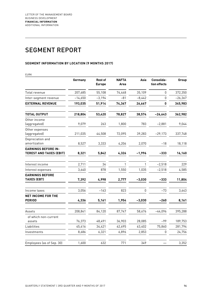## SEGMENT REPORT

### **SEGMENT INFORMATION BY LOCATION (9 MONTHS 2017)**

| <b>EURK</b>                                                  |           |                                 |                      |              |                            |           |
|--------------------------------------------------------------|-----------|---------------------------------|----------------------|--------------|----------------------------|-----------|
|                                                              | Germany   | <b>Rest of</b><br><b>Europe</b> | <b>NAFTA</b><br>Area | Asia         | Consolida-<br>tion effects | Group     |
| Total revenue                                                | 207,685   | 55,108                          | 74,448               | 35,109       | $\mathbf{0}$               | 372,350   |
| Inter-segment revenue                                        | $-14,650$ | $-3.194$                        | $-81$                | $-8,442$     | 0                          | $-26,367$ |
| <b>EXTERNAL REVENUE</b>                                      | 193,035   | 51,914                          | 74,367               | 26,667       | 0                          | 345,983   |
| <b>TOTAL OUTPUT</b>                                          | 218,804   | 53,420                          | 78,827               | 38,574       | $-26,643$                  | 362,982   |
| Other income<br>(aggregated)                                 | 9,079     | 263                             | 1,800                | 783          | $-2,881$                   | 9,044     |
| Other expenses<br>(aggregated)                               | 211,035   | 44,508                          | 72,095               | 39,283       | $-29,173$                  | 337,748   |
| Depreciation and<br>amortization                             | 8,527     | 3,333                           | 4,206                | 2,070        | $-18$                      | 18,118    |
| <b>EARNINGS BEFORE IN-</b><br><b>TEREST AND TAXES (EBIT)</b> | 8,321     | 5,842                           | 4,326                | $-1,996$     | $-333$                     | 16,160    |
| Interest income                                              | 2,711     | 34                              | 1                    | $\mathbf{1}$ | $-2,518$                   | 229       |
| Interest expenses                                            | 3,640     | 878                             | 1,550                | 1,035        | $-2,518$                   | 4,585     |
| <b>EARNINGS BEFORE</b><br><b>TAXES (EBT)</b>                 | 7,392     | 4,998                           | 2,777                | $-3,030$     | $-333$                     | 11,804    |
| Income taxes                                                 | 3,056     | $-163$                          | 823                  | 0            | $-73$                      | 3,643     |
| <b>NET INCOME FOR THE</b><br><b>PERIOD</b>                   | 4,336     | 5,161                           | 1,954                | $-3,030$     | $-260$                     | 8,161     |
| Assets                                                       | 208,841   | 84,120                          | 87,747               | 58,676       | $-44,096$                  | 395,288   |
| of which non-current<br>assets                               | 76,373    | 48,491                          | 36,903               | 28,085       | -99                        | 189,753   |
| Liabilities                                                  | 45,416    | 34,421                          | 62,695               | 63,402       | 75,860                     | 281,794   |
| Investments                                                  | 8,686     | 6,321                           | 6,896                | 2,853        | 0                          | 24,756    |
| Employees (as of Sep. 30)                                    | 1,600     | 632                             | 771                  | 349          |                            | 3,352     |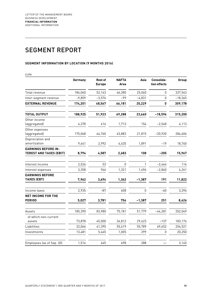## SEGMENT REPORT

### **SEGMENT INFORMATION BY LOCATION (9 MONTHS 2016)**

| <b>EURK</b>                                                  |          |                                 |                      |              |                            |           |
|--------------------------------------------------------------|----------|---------------------------------|----------------------|--------------|----------------------------|-----------|
|                                                              | Germany  | <b>Rest of</b><br><b>Europe</b> | <b>NAFTA</b><br>Area | Asia         | Consolida-<br>tion effects | Group     |
| Total revenue                                                | 184,060  | 52,143                          | 66,280               | 25,060       | 0                          | 327,543   |
| Inter-segment revenue                                        | $-9,859$ | $-3,576$                        | $-99$                | $-4,831$     | 0                          | $-18,365$ |
| <b>EXTERNAL REVENUE</b>                                      | 174,201  | 48,567                          | 66,181               | 20,229       | 0                          | 309,178   |
| <b>TOTAL OUTPUT</b>                                          | 188,925  | 51,923                          | 69,288               | 23,660       | $-18,596$                  | 315,200   |
| Other income<br>(aggregated)                                 | 4,378    | 416                             | 1,713                | 154          | $-2,548$                   | 4,113     |
| Other expenses<br>(aggregated)                               | 175,068  | 44,760                          | 63,883               | 21,815       | $-20,920$                  | 284,606   |
| Depreciation and<br>amortization                             | 9,441    | 2,992                           | 4,435                | 1,891        | $-19$                      | 18,740    |
| <b>EARNINGS BEFORE IN-</b><br><b>TEREST AND TAXES (EBIT)</b> | 8,794    | 4,587                           | 2,683                | 108          | $-205$                     | 15,967    |
| Interest income                                              | 2,526    | 53                              | $\Omega$             | $\mathbf{1}$ | $-2,464$                   | 116       |
| Interest expenses                                            | 3,358    | 946                             | 1,321                | 1,496        | $-2,860$                   | 4,261     |
| <b>EARNINGS BEFORE</b><br><b>TAXES (EBT)</b>                 | 7,962    | 3,694                           | 1,362                | $-1,387$     | 191                        | 11,822    |
| Income taxes                                                 | 2,935    | -87                             | 608                  | 0            | $-60$                      | 3,396     |
| <b>NET INCOME FOR THE</b><br><b>PERIOD</b>                   | 5,027    | 3,781                           | 754                  | $-1,387$     | 251                        | 8,426     |
| Assets                                                       | 185,390  | 83,980                          | 75,181               | 51,779       | $-44,281$                  | 352,049   |
| of which non-current<br>assets                               | 73,878   | 45,000                          | 34,812               | 29,623       | $-137$                     | 183,176   |
| Liabilities                                                  | 32,066   | 41,395                          | 55,619               | 55,789       | 69,652                     | 254,521   |
| Investments                                                  | 13,481   | 5,465                           | 1,005                | 299          | 0                          | 20,250    |
| Employees (as of Sep. 30)                                    | 1,514    | 645                             | 698                  | 288          |                            | 3,145     |